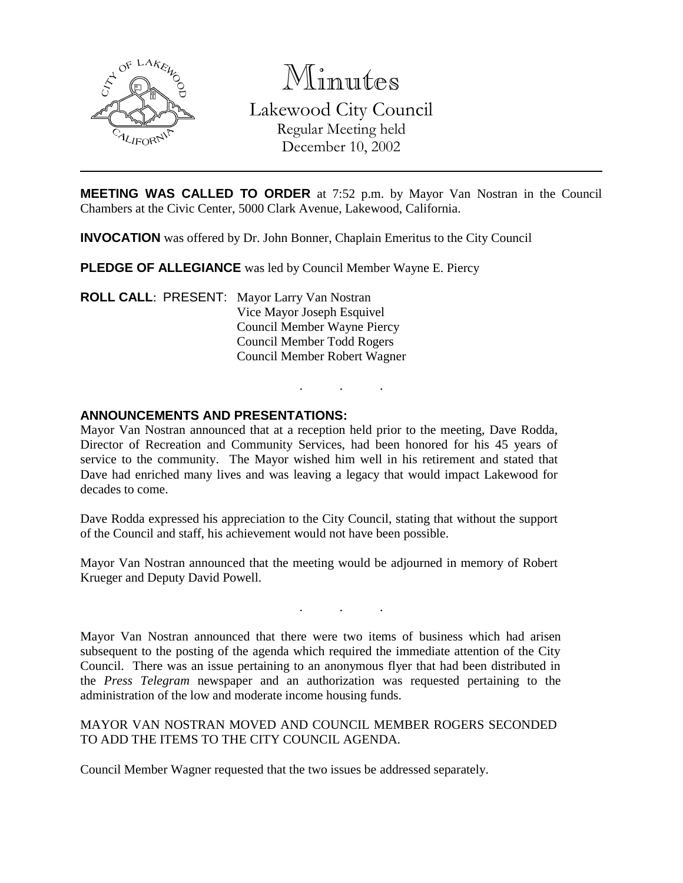

Minutes Lakewood City Council Regular Meeting held December 10, 2002

**MEETING WAS CALLED TO ORDER** at 7:52 p.m. by Mayor Van Nostran in the Council Chambers at the Civic Center, 5000 Clark Avenue, Lakewood, California.

**INVOCATION** was offered by Dr. John Bonner, Chaplain Emeritus to the City Council

**PLEDGE OF ALLEGIANCE** was led by Council Member Wayne E. Piercy

**ROLL CALL**: PRESENT: Mayor Larry Van Nostran Vice Mayor Joseph Esquivel Council Member Wayne Piercy Council Member Todd Rogers Council Member Robert Wagner

### **ANNOUNCEMENTS AND PRESENTATIONS:**

Mayor Van Nostran announced that at a reception held prior to the meeting, Dave Rodda, Director of Recreation and Community Services, had been honored for his 45 years of service to the community. The Mayor wished him well in his retirement and stated that Dave had enriched many lives and was leaving a legacy that would impact Lakewood for decades to come.

. . .

Dave Rodda expressed his appreciation to the City Council, stating that without the support of the Council and staff, his achievement would not have been possible.

Mayor Van Nostran announced that the meeting would be adjourned in memory of Robert Krueger and Deputy David Powell.

. . .

Mayor Van Nostran announced that there were two items of business which had arisen subsequent to the posting of the agenda which required the immediate attention of the City Council. There was an issue pertaining to an anonymous flyer that had been distributed in the *Press Telegram* newspaper and an authorization was requested pertaining to the administration of the low and moderate income housing funds.

MAYOR VAN NOSTRAN MOVED AND COUNCIL MEMBER ROGERS SECONDED TO ADD THE ITEMS TO THE CITY COUNCIL AGENDA.

Council Member Wagner requested that the two issues be addressed separately.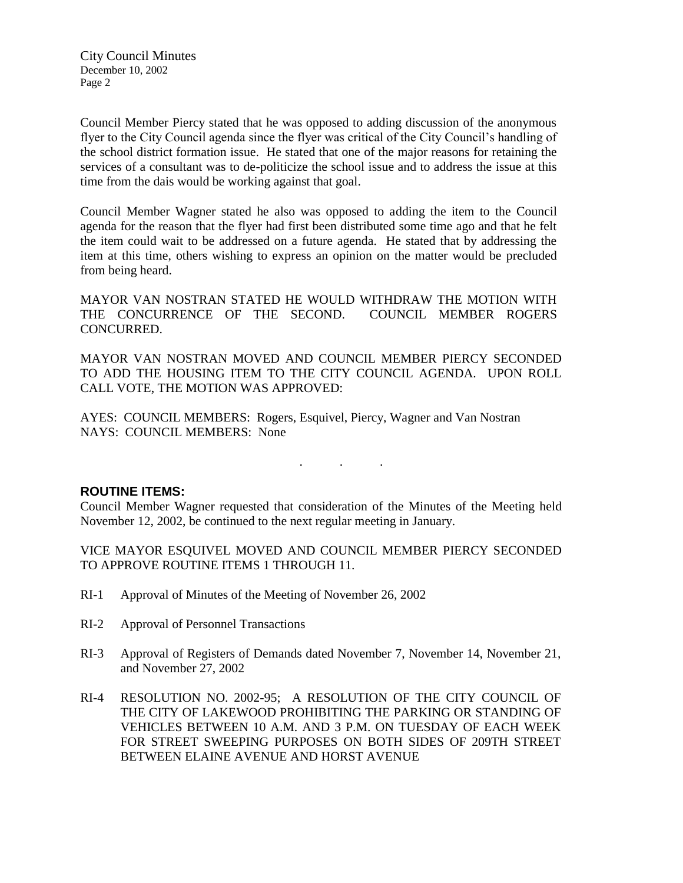Council Member Piercy stated that he was opposed to adding discussion of the anonymous flyer to the City Council agenda since the flyer was critical of the City Council's handling of the school district formation issue. He stated that one of the major reasons for retaining the services of a consultant was to de-politicize the school issue and to address the issue at this time from the dais would be working against that goal.

Council Member Wagner stated he also was opposed to adding the item to the Council agenda for the reason that the flyer had first been distributed some time ago and that he felt the item could wait to be addressed on a future agenda. He stated that by addressing the item at this time, others wishing to express an opinion on the matter would be precluded from being heard.

MAYOR VAN NOSTRAN STATED HE WOULD WITHDRAW THE MOTION WITH THE CONCURRENCE OF THE SECOND. COUNCIL MEMBER ROGERS CONCURRED.

MAYOR VAN NOSTRAN MOVED AND COUNCIL MEMBER PIERCY SECONDED TO ADD THE HOUSING ITEM TO THE CITY COUNCIL AGENDA. UPON ROLL CALL VOTE, THE MOTION WAS APPROVED:

AYES: COUNCIL MEMBERS: Rogers, Esquivel, Piercy, Wagner and Van Nostran NAYS: COUNCIL MEMBERS: None

#### **ROUTINE ITEMS:**

Council Member Wagner requested that consideration of the Minutes of the Meeting held November 12, 2002, be continued to the next regular meeting in January.

. . .

VICE MAYOR ESQUIVEL MOVED AND COUNCIL MEMBER PIERCY SECONDED TO APPROVE ROUTINE ITEMS 1 THROUGH 11.

- RI-1 Approval of Minutes of the Meeting of November 26, 2002
- RI-2 Approval of Personnel Transactions
- RI-3 Approval of Registers of Demands dated November 7, November 14, November 21, and November 27, 2002
- RI-4 RESOLUTION NO. 2002-95; A RESOLUTION OF THE CITY COUNCIL OF THE CITY OF LAKEWOOD PROHIBITING THE PARKING OR STANDING OF VEHICLES BETWEEN 10 A.M. AND 3 P.M. ON TUESDAY OF EACH WEEK FOR STREET SWEEPING PURPOSES ON BOTH SIDES OF 209TH STREET BETWEEN ELAINE AVENUE AND HORST AVENUE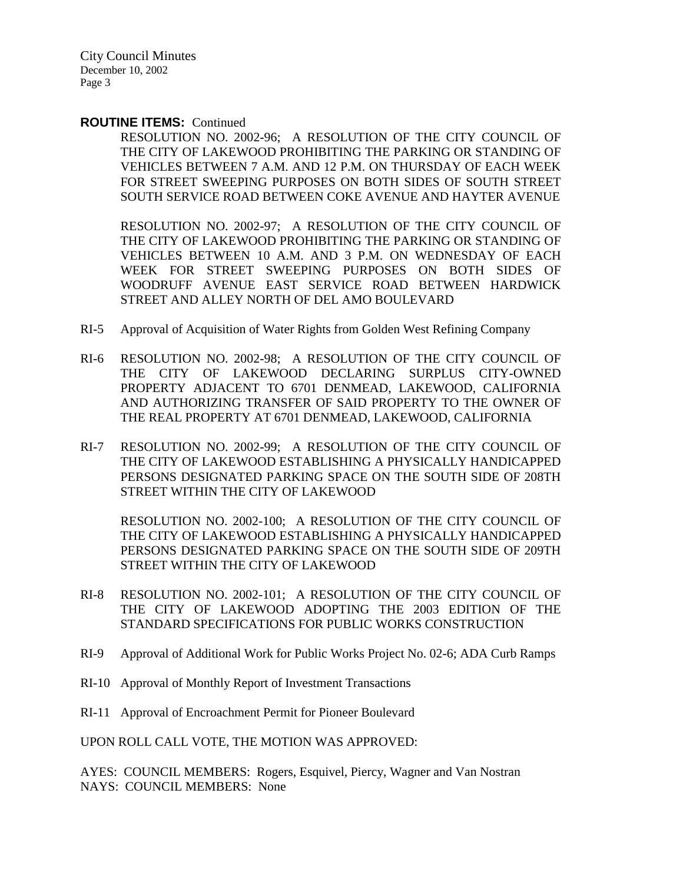#### **ROUTINE ITEMS:** Continued

RESOLUTION NO. 2002-96; A RESOLUTION OF THE CITY COUNCIL OF THE CITY OF LAKEWOOD PROHIBITING THE PARKING OR STANDING OF VEHICLES BETWEEN 7 A.M. AND 12 P.M. ON THURSDAY OF EACH WEEK FOR STREET SWEEPING PURPOSES ON BOTH SIDES OF SOUTH STREET SOUTH SERVICE ROAD BETWEEN COKE AVENUE AND HAYTER AVENUE

RESOLUTION NO. 2002-97; A RESOLUTION OF THE CITY COUNCIL OF THE CITY OF LAKEWOOD PROHIBITING THE PARKING OR STANDING OF VEHICLES BETWEEN 10 A.M. AND 3 P.M. ON WEDNESDAY OF EACH WEEK FOR STREET SWEEPING PURPOSES ON BOTH SIDES OF WOODRUFF AVENUE EAST SERVICE ROAD BETWEEN HARDWICK STREET AND ALLEY NORTH OF DEL AMO BOULEVARD

- RI-5 Approval of Acquisition of Water Rights from Golden West Refining Company
- RI-6 RESOLUTION NO. 2002-98; A RESOLUTION OF THE CITY COUNCIL OF THE CITY OF LAKEWOOD DECLARING SURPLUS CITY-OWNED PROPERTY ADJACENT TO 6701 DENMEAD, LAKEWOOD, CALIFORNIA AND AUTHORIZING TRANSFER OF SAID PROPERTY TO THE OWNER OF THE REAL PROPERTY AT 6701 DENMEAD, LAKEWOOD, CALIFORNIA
- RI-7 RESOLUTION NO. 2002-99; A RESOLUTION OF THE CITY COUNCIL OF THE CITY OF LAKEWOOD ESTABLISHING A PHYSICALLY HANDICAPPED PERSONS DESIGNATED PARKING SPACE ON THE SOUTH SIDE OF 208TH STREET WITHIN THE CITY OF LAKEWOOD

RESOLUTION NO. 2002-100; A RESOLUTION OF THE CITY COUNCIL OF THE CITY OF LAKEWOOD ESTABLISHING A PHYSICALLY HANDICAPPED PERSONS DESIGNATED PARKING SPACE ON THE SOUTH SIDE OF 209TH STREET WITHIN THE CITY OF LAKEWOOD

- RI-8 RESOLUTION NO. 2002-101; A RESOLUTION OF THE CITY COUNCIL OF THE CITY OF LAKEWOOD ADOPTING THE 2003 EDITION OF THE STANDARD SPECIFICATIONS FOR PUBLIC WORKS CONSTRUCTION
- RI-9 Approval of Additional Work for Public Works Project No. 02-6; ADA Curb Ramps
- RI-10 Approval of Monthly Report of Investment Transactions
- RI-11 Approval of Encroachment Permit for Pioneer Boulevard

UPON ROLL CALL VOTE, THE MOTION WAS APPROVED:

AYES: COUNCIL MEMBERS: Rogers, Esquivel, Piercy, Wagner and Van Nostran NAYS: COUNCIL MEMBERS: None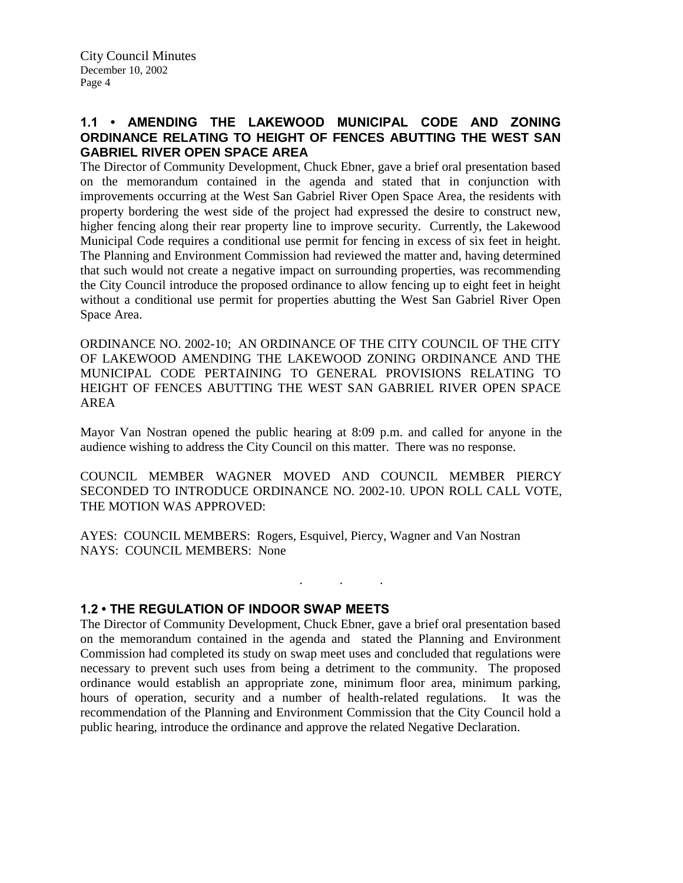# **1.1 • AMENDING THE LAKEWOOD MUNICIPAL CODE AND ZONING ORDINANCE RELATING TO HEIGHT OF FENCES ABUTTING THE WEST SAN GABRIEL RIVER OPEN SPACE AREA**

The Director of Community Development, Chuck Ebner, gave a brief oral presentation based on the memorandum contained in the agenda and stated that in conjunction with improvements occurring at the West San Gabriel River Open Space Area, the residents with property bordering the west side of the project had expressed the desire to construct new, higher fencing along their rear property line to improve security. Currently, the Lakewood Municipal Code requires a conditional use permit for fencing in excess of six feet in height. The Planning and Environment Commission had reviewed the matter and, having determined that such would not create a negative impact on surrounding properties, was recommending the City Council introduce the proposed ordinance to allow fencing up to eight feet in height without a conditional use permit for properties abutting the West San Gabriel River Open Space Area.

ORDINANCE NO. 2002-10; AN ORDINANCE OF THE CITY COUNCIL OF THE CITY OF LAKEWOOD AMENDING THE LAKEWOOD ZONING ORDINANCE AND THE MUNICIPAL CODE PERTAINING TO GENERAL PROVISIONS RELATING TO HEIGHT OF FENCES ABUTTING THE WEST SAN GABRIEL RIVER OPEN SPACE AREA

Mayor Van Nostran opened the public hearing at 8:09 p.m. and called for anyone in the audience wishing to address the City Council on this matter. There was no response.

COUNCIL MEMBER WAGNER MOVED AND COUNCIL MEMBER PIERCY SECONDED TO INTRODUCE ORDINANCE NO. 2002-10. UPON ROLL CALL VOTE, THE MOTION WAS APPROVED:

. . .

AYES: COUNCIL MEMBERS: Rogers, Esquivel, Piercy, Wagner and Van Nostran NAYS: COUNCIL MEMBERS: None

### **1.2 • THE REGULATION OF INDOOR SWAP MEETS**

The Director of Community Development, Chuck Ebner, gave a brief oral presentation based on the memorandum contained in the agenda and stated the Planning and Environment Commission had completed its study on swap meet uses and concluded that regulations were necessary to prevent such uses from being a detriment to the community. The proposed ordinance would establish an appropriate zone, minimum floor area, minimum parking, hours of operation, security and a number of health-related regulations. It was the recommendation of the Planning and Environment Commission that the City Council hold a public hearing, introduce the ordinance and approve the related Negative Declaration.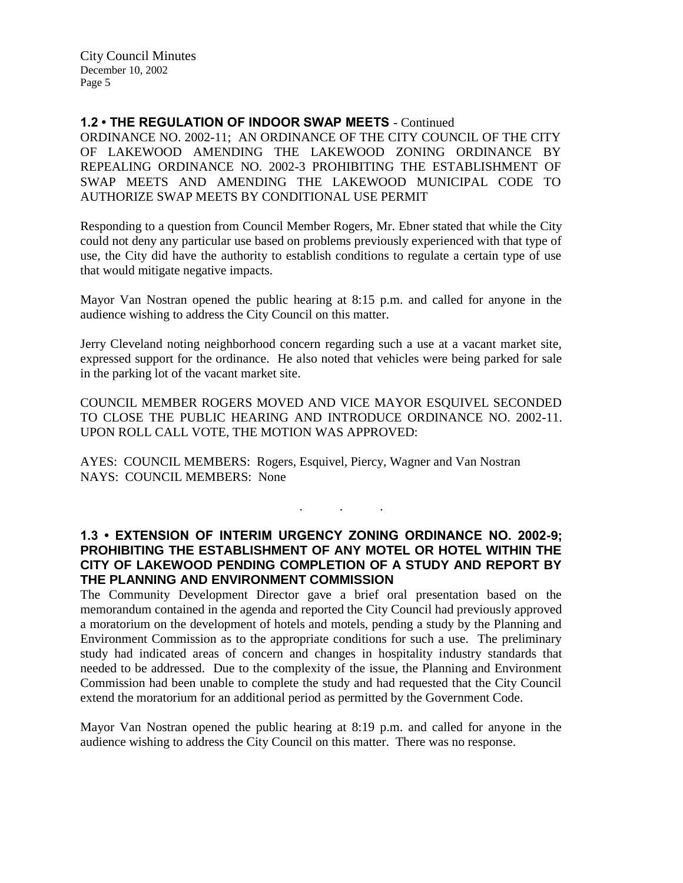### **1.2 • THE REGULATION OF INDOOR SWAP MEETS** - Continued

ORDINANCE NO. 2002-11; AN ORDINANCE OF THE CITY COUNCIL OF THE CITY OF LAKEWOOD AMENDING THE LAKEWOOD ZONING ORDINANCE BY REPEALING ORDINANCE NO. 2002-3 PROHIBITING THE ESTABLISHMENT OF SWAP MEETS AND AMENDING THE LAKEWOOD MUNICIPAL CODE TO AUTHORIZE SWAP MEETS BY CONDITIONAL USE PERMIT

Responding to a question from Council Member Rogers, Mr. Ebner stated that while the City could not deny any particular use based on problems previously experienced with that type of use, the City did have the authority to establish conditions to regulate a certain type of use that would mitigate negative impacts.

Mayor Van Nostran opened the public hearing at 8:15 p.m. and called for anyone in the audience wishing to address the City Council on this matter.

Jerry Cleveland noting neighborhood concern regarding such a use at a vacant market site, expressed support for the ordinance. He also noted that vehicles were being parked for sale in the parking lot of the vacant market site.

COUNCIL MEMBER ROGERS MOVED AND VICE MAYOR ESQUIVEL SECONDED TO CLOSE THE PUBLIC HEARING AND INTRODUCE ORDINANCE NO. 2002-11. UPON ROLL CALL VOTE, THE MOTION WAS APPROVED:

AYES: COUNCIL MEMBERS: Rogers, Esquivel, Piercy, Wagner and Van Nostran NAYS: COUNCIL MEMBERS: None

### **1.3 • EXTENSION OF INTERIM URGENCY ZONING ORDINANCE NO. 2002-9; PROHIBITING THE ESTABLISHMENT OF ANY MOTEL OR HOTEL WITHIN THE CITY OF LAKEWOOD PENDING COMPLETION OF A STUDY AND REPORT BY THE PLANNING AND ENVIRONMENT COMMISSION**

. . .

The Community Development Director gave a brief oral presentation based on the memorandum contained in the agenda and reported the City Council had previously approved a moratorium on the development of hotels and motels, pending a study by the Planning and Environment Commission as to the appropriate conditions for such a use. The preliminary study had indicated areas of concern and changes in hospitality industry standards that needed to be addressed. Due to the complexity of the issue, the Planning and Environment Commission had been unable to complete the study and had requested that the City Council extend the moratorium for an additional period as permitted by the Government Code.

Mayor Van Nostran opened the public hearing at 8:19 p.m. and called for anyone in the audience wishing to address the City Council on this matter. There was no response.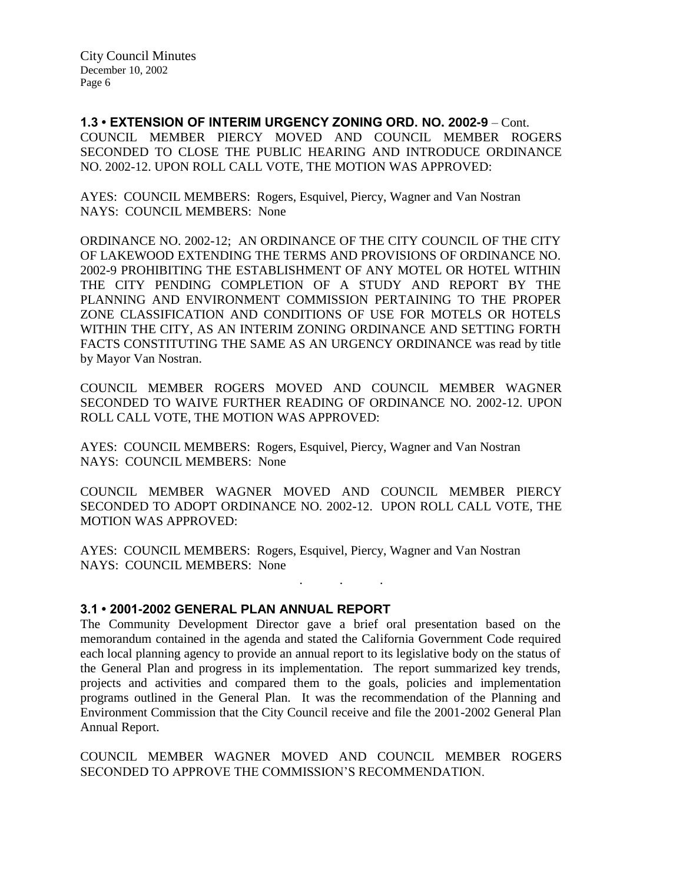**1.3 • EXTENSION OF INTERIM URGENCY ZONING ORD. NO. 2002-9** – Cont. COUNCIL MEMBER PIERCY MOVED AND COUNCIL MEMBER ROGERS SECONDED TO CLOSE THE PUBLIC HEARING AND INTRODUCE ORDINANCE NO. 2002-12. UPON ROLL CALL VOTE, THE MOTION WAS APPROVED:

AYES: COUNCIL MEMBERS: Rogers, Esquivel, Piercy, Wagner and Van Nostran NAYS: COUNCIL MEMBERS: None

ORDINANCE NO. 2002-12; AN ORDINANCE OF THE CITY COUNCIL OF THE CITY OF LAKEWOOD EXTENDING THE TERMS AND PROVISIONS OF ORDINANCE NO. 2002-9 PROHIBITING THE ESTABLISHMENT OF ANY MOTEL OR HOTEL WITHIN THE CITY PENDING COMPLETION OF A STUDY AND REPORT BY THE PLANNING AND ENVIRONMENT COMMISSION PERTAINING TO THE PROPER ZONE CLASSIFICATION AND CONDITIONS OF USE FOR MOTELS OR HOTELS WITHIN THE CITY, AS AN INTERIM ZONING ORDINANCE AND SETTING FORTH FACTS CONSTITUTING THE SAME AS AN URGENCY ORDINANCE was read by title by Mayor Van Nostran.

COUNCIL MEMBER ROGERS MOVED AND COUNCIL MEMBER WAGNER SECONDED TO WAIVE FURTHER READING OF ORDINANCE NO. 2002-12. UPON ROLL CALL VOTE, THE MOTION WAS APPROVED:

AYES: COUNCIL MEMBERS: Rogers, Esquivel, Piercy, Wagner and Van Nostran NAYS: COUNCIL MEMBERS: None

COUNCIL MEMBER WAGNER MOVED AND COUNCIL MEMBER PIERCY SECONDED TO ADOPT ORDINANCE NO. 2002-12. UPON ROLL CALL VOTE, THE MOTION WAS APPROVED:

. . .

AYES: COUNCIL MEMBERS: Rogers, Esquivel, Piercy, Wagner and Van Nostran NAYS: COUNCIL MEMBERS: None

### **3.1 • 2001-2002 GENERAL PLAN ANNUAL REPORT**

The Community Development Director gave a brief oral presentation based on the memorandum contained in the agenda and stated the California Government Code required each local planning agency to provide an annual report to its legislative body on the status of the General Plan and progress in its implementation. The report summarized key trends, projects and activities and compared them to the goals, policies and implementation programs outlined in the General Plan. It was the recommendation of the Planning and Environment Commission that the City Council receive and file the 2001-2002 General Plan Annual Report.

COUNCIL MEMBER WAGNER MOVED AND COUNCIL MEMBER ROGERS SECONDED TO APPROVE THE COMMISSION'S RECOMMENDATION.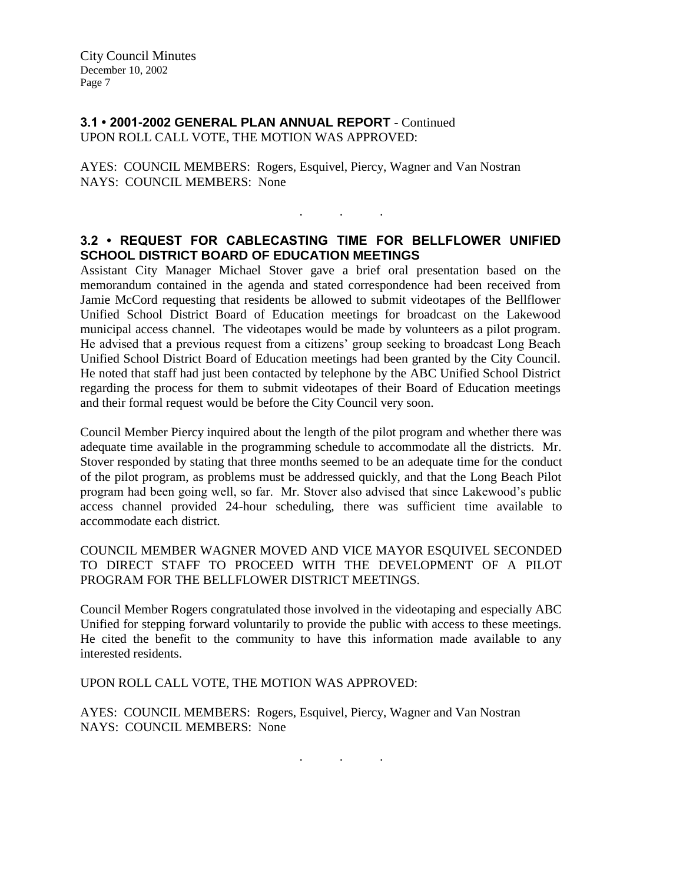# **3.1 • 2001-2002 GENERAL PLAN ANNUAL REPORT** - Continued UPON ROLL CALL VOTE, THE MOTION WAS APPROVED:

AYES: COUNCIL MEMBERS: Rogers, Esquivel, Piercy, Wagner and Van Nostran NAYS: COUNCIL MEMBERS: None

# **3.2 • REQUEST FOR CABLECASTING TIME FOR BELLFLOWER UNIFIED SCHOOL DISTRICT BOARD OF EDUCATION MEETINGS**

. . .

Assistant City Manager Michael Stover gave a brief oral presentation based on the memorandum contained in the agenda and stated correspondence had been received from Jamie McCord requesting that residents be allowed to submit videotapes of the Bellflower Unified School District Board of Education meetings for broadcast on the Lakewood municipal access channel. The videotapes would be made by volunteers as a pilot program. He advised that a previous request from a citizens' group seeking to broadcast Long Beach Unified School District Board of Education meetings had been granted by the City Council. He noted that staff had just been contacted by telephone by the ABC Unified School District regarding the process for them to submit videotapes of their Board of Education meetings and their formal request would be before the City Council very soon.

Council Member Piercy inquired about the length of the pilot program and whether there was adequate time available in the programming schedule to accommodate all the districts. Mr. Stover responded by stating that three months seemed to be an adequate time for the conduct of the pilot program, as problems must be addressed quickly, and that the Long Beach Pilot program had been going well, so far. Mr. Stover also advised that since Lakewood's public access channel provided 24-hour scheduling, there was sufficient time available to accommodate each district.

## COUNCIL MEMBER WAGNER MOVED AND VICE MAYOR ESQUIVEL SECONDED TO DIRECT STAFF TO PROCEED WITH THE DEVELOPMENT OF A PILOT PROGRAM FOR THE BELLFLOWER DISTRICT MEETINGS.

Council Member Rogers congratulated those involved in the videotaping and especially ABC Unified for stepping forward voluntarily to provide the public with access to these meetings. He cited the benefit to the community to have this information made available to any interested residents.

UPON ROLL CALL VOTE, THE MOTION WAS APPROVED:

AYES: COUNCIL MEMBERS: Rogers, Esquivel, Piercy, Wagner and Van Nostran NAYS: COUNCIL MEMBERS: None

. . .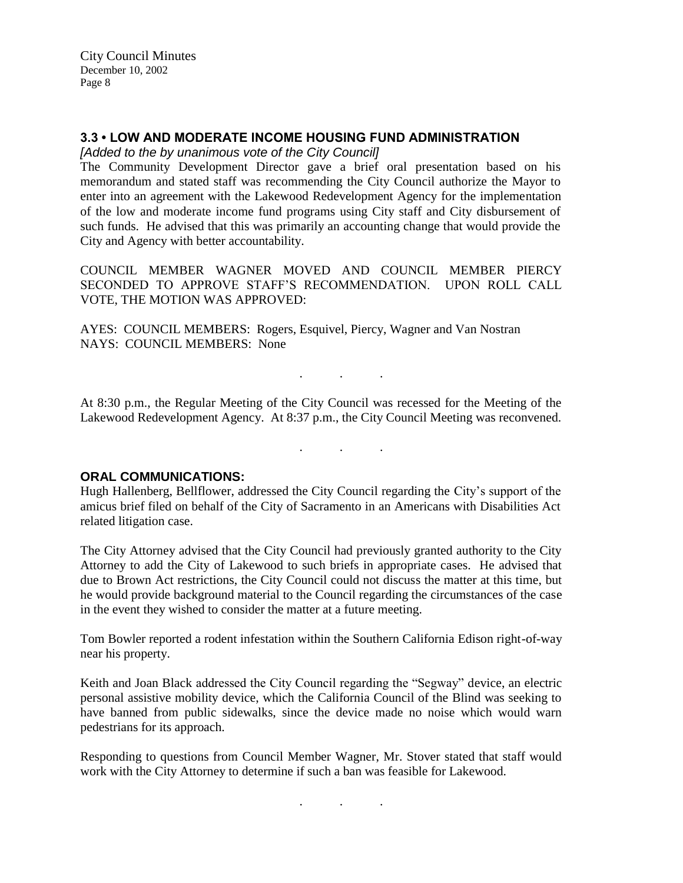## **3.3 • LOW AND MODERATE INCOME HOUSING FUND ADMINISTRATION**

*[Added to the by unanimous vote of the City Council]* 

The Community Development Director gave a brief oral presentation based on his memorandum and stated staff was recommending the City Council authorize the Mayor to enter into an agreement with the Lakewood Redevelopment Agency for the implementation of the low and moderate income fund programs using City staff and City disbursement of such funds. He advised that this was primarily an accounting change that would provide the City and Agency with better accountability.

COUNCIL MEMBER WAGNER MOVED AND COUNCIL MEMBER PIERCY SECONDED TO APPROVE STAFF'S RECOMMENDATION. UPON ROLL CALL VOTE, THE MOTION WAS APPROVED:

AYES: COUNCIL MEMBERS: Rogers, Esquivel, Piercy, Wagner and Van Nostran NAYS: COUNCIL MEMBERS: None

At 8:30 p.m., the Regular Meeting of the City Council was recessed for the Meeting of the Lakewood Redevelopment Agency. At 8:37 p.m., the City Council Meeting was reconvened.

. . .

. . .

#### **ORAL COMMUNICATIONS:**

Hugh Hallenberg, Bellflower, addressed the City Council regarding the City's support of the amicus brief filed on behalf of the City of Sacramento in an Americans with Disabilities Act related litigation case.

The City Attorney advised that the City Council had previously granted authority to the City Attorney to add the City of Lakewood to such briefs in appropriate cases. He advised that due to Brown Act restrictions, the City Council could not discuss the matter at this time, but he would provide background material to the Council regarding the circumstances of the case in the event they wished to consider the matter at a future meeting.

Tom Bowler reported a rodent infestation within the Southern California Edison right-of-way near his property.

Keith and Joan Black addressed the City Council regarding the "Segway" device, an electric personal assistive mobility device, which the California Council of the Blind was seeking to have banned from public sidewalks, since the device made no noise which would warn pedestrians for its approach.

Responding to questions from Council Member Wagner, Mr. Stover stated that staff would work with the City Attorney to determine if such a ban was feasible for Lakewood.

. . .